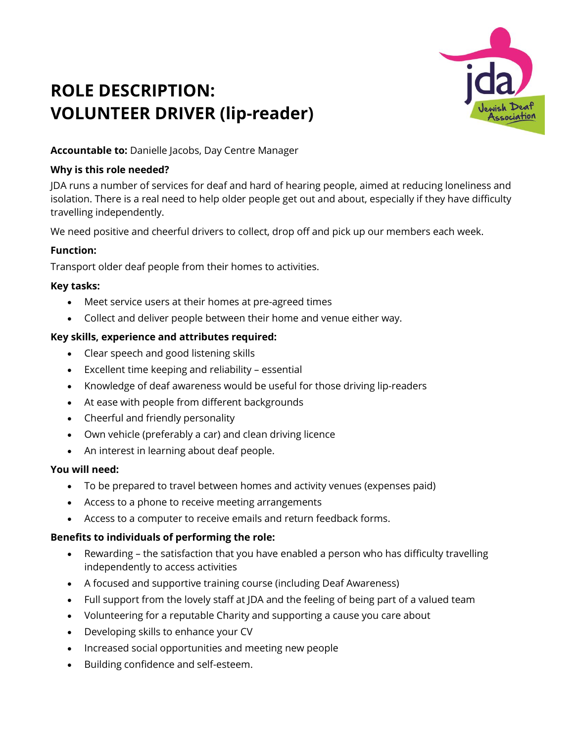# **ROLE DESCRIPTION: VOLUNTEER DRIVER (lip-reader)**



**Accountable to:** Danielle Jacobs, Day Centre Manager

# **Why is this role needed?**

JDA runs a number of services for deaf and hard of hearing people, aimed at reducing loneliness and isolation. There is a real need to help older people get out and about, especially if they have difficulty travelling independently.

We need positive and cheerful drivers to collect, drop off and pick up our members each week.

# **Function:**

Transport older deaf people from their homes to activities.

## **Key tasks:**

- Meet service users at their homes at pre-agreed times
- Collect and deliver people between their home and venue either way.

## **Key skills, experience and attributes required:**

- Clear speech and good listening skills
- Excellent time keeping and reliability essential
- Knowledge of deaf awareness would be useful for those driving lip-readers
- At ease with people from different backgrounds
- Cheerful and friendly personality
- Own vehicle (preferably a car) and clean driving licence
- An interest in learning about deaf people.

## **You will need:**

- To be prepared to travel between homes and activity venues (expenses paid)
- Access to a phone to receive meeting arrangements
- Access to a computer to receive emails and return feedback forms.

## **Benefits to individuals of performing the role:**

- Rewarding the satisfaction that you have enabled a person who has difficulty travelling independently to access activities
- A focused and supportive training course (including Deaf Awareness)
- Full support from the lovely staff at JDA and the feeling of being part of a valued team
- Volunteering for a reputable Charity and supporting a cause you care about
- Developing skills to enhance your CV
- Increased social opportunities and meeting new people
- Building confidence and self-esteem.